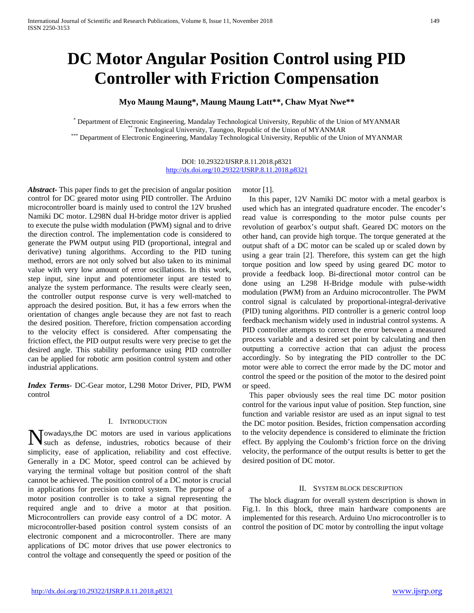# **DC Motor Angular Position Control using PID Controller with Friction Compensation**

**Myo Maung Maung\*, Maung Maung Latt\*\*, Chaw Myat Nwe\*\***

Department of Electronic Engineering, Mandalay Technological University, Republic of the Union of MYANMAR<br>\*\* Technological University, Taungoo, Republic of the Union of MYANMAR<br>\* Department of Electronic Engineering, Manda

DOI: 10.29322/IJSRP.8.11.2018.p8321 <http://dx.doi.org/10.29322/IJSRP.8.11.2018.p8321>

*Abstract***-** This paper finds to get the precision of angular position control for DC geared motor using PID controller. The Arduino microcontroller board is mainly used to control the 12V brushed Namiki DC motor. L298N dual H-bridge motor driver is applied to execute the pulse width modulation (PWM) signal and to drive the direction control. The implementation code is considered to generate the PWM output using PID (proportional, integral and derivative) tuning algorithms. According to the PID tuning method, errors are not only solved but also taken to its minimal value with very low amount of error oscillations. In this work, step input, sine input and potentiometer input are tested to analyze the system performance. The results were clearly seen, the controller output response curve is very well-matched to approach the desired position. But, it has a few errors when the orientation of changes angle because they are not fast to reach the desired position. Therefore, friction compensation according to the velocity effect is considered. After compensating the friction effect, the PID output results were very precise to get the desired angle. This stability performance using PID controller can be applied for robotic arm position control system and other industrial applications.

*Index Terms*- DC-Gear motor, L298 Motor Driver, PID, PWM control

#### I. INTRODUCTION

owadays,the DC motors are used in various applications Nowadays, the DC motors are used in various applications such as defense, industries, robotics because of their simplicity, ease of application, reliability and cost effective. Generally in a DC Motor, speed control can be achieved by varying the terminal voltage but position control of the shaft cannot be achieved. The position control of a DC motor is crucial in applications for precision control system. The purpose of a motor position controller is to take a signal representing the required angle and to drive a motor at that position. Microcontrollers can provide easy control of a DC motor. A microcontroller-based position control system consists of an electronic component and a microcontroller. There are many applications of DC motor drives that use power electronics to control the voltage and consequently the speed or position of the

motor [1].

In this paper, 12V Namiki DC motor with a metal gearbox is used which has an integrated quadrature encoder. The encoder's read value is corresponding to the motor pulse counts per revolution of gearbox's output shaft. Geared DC motors on the other hand, can provide high torque. The torque generated at the output shaft of a DC motor can be scaled up or scaled down by using a gear train [2]. Therefore, this system can get the high torque position and low speed by using geared DC motor to provide a feedback loop. Bi-directional motor control can be done using an L298 H-Bridge module with pulse-width modulation (PWM) from an Arduino microcontroller. The PWM control signal is calculated by proportional-integral-derivative (PID) tuning algorithms. PID controller is a generic control loop feedback mechanism widely used in industrial control systems. A PID controller attempts to correct the error between a measured process variable and a desired set point by calculating and then outputting a corrective action that can adjust the process accordingly. So by integrating the PID controller to the DC motor were able to correct the error made by the DC motor and control the speed or the position of the motor to the desired point or speed.

This paper obviously sees the real time DC motor position control for the various input value of position. Step function, sine function and variable resistor are used as an input signal to test the DC motor position. Besides, friction compensation according to the velocity dependence is considered to eliminate the friction effect. By applying the Coulomb's friction force on the driving velocity, the performance of the output results is better to get the desired position of DC motor.

#### II. SYSTEM BLOCK DESCRIPTION

The block diagram for overall system description is shown in Fig.1. In this block, three main hardware components are implemented for this research. Arduino Uno microcontroller is to control the position of DC motor by controlling the input voltage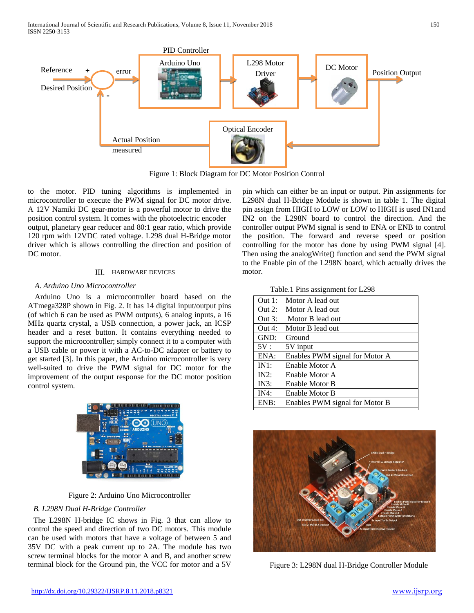

Figure 1: Block Diagram for DC Motor Position Control

to the motor. PID tuning algorithms is implemented in microcontroller to execute the PWM signal for DC motor drive. A 12V Namiki DC gear-motor is a powerful motor to drive the position control system. It comes with the photoelectric encoder output, planetary gear reducer and 80:1 gear ratio, which provide 120 rpm with 12VDC rated voltage. L298 dual H-Bridge motor driver which is allows controlling the direction and position of DC motor.

# III. HARDWARE DEVICES

# *A. Arduino Uno Microcontroller*

Arduino Uno is a microcontroller board based on the ATmega328P shown in Fig. 2. It has 14 digital input/output pins (of which 6 can be used as PWM outputs), 6 analog inputs, a 16 MHz quartz crystal, a USB connection, a power jack, an ICSP header and a reset button. It contains everything needed to support the microcontroller; simply connect it to a computer with a USB cable or power it with a AC-to-DC adapter or battery to get started [3]. In this paper, the Arduino microcontroller is very well-suited to drive the PWM signal for DC motor for the improvement of the output response for the DC motor position control system.



Figure 2: Arduino Uno Microcontroller

# *B. L298N Dual H-Bridge Controller*

The L298N H-bridge IC shows in Fig. 3 that can allow to control the speed and direction of two DC motors. This module can be used with motors that have a voltage of between 5 and 35V DC with a peak current up to 2A. The module has two screw terminal blocks for the motor A and B, and another screw terminal block for the Ground pin, the VCC for motor and a 5V

pin which can either be an input or output. Pin assignments for L298N dual H-Bridge Module is shown in table 1. The digital pin assign from HIGH to LOW or LOW to HIGH is used IN1and IN2 on the L298N board to control the direction. And the controller output PWM signal is send to ENA or ENB to control the position. The forward and reverse speed or position controlling for the motor has done by using PWM signal [4]. Then using the analogWrite() function and send the PWM signal to the Enable pin of the L298N board, which actually drives the motor.

Table.1 Pins assignment for L298

| Out 1:    | Motor A lead out               |
|-----------|--------------------------------|
| Out $2$ : | Motor A lead out               |
| Out 3:    | Motor B lead out               |
| Out 4:    | Motor B lead out               |
| GND:      | Ground                         |
| 5V:       | 5V input                       |
| ENA:      | Enables PWM signal for Motor A |
| IN1:      | Enable Motor A                 |
| $IN2$ :   | Enable Motor A                 |
| IN3:      | Enable Motor B                 |
| IN4:      | Enable Motor B                 |
| ENB:      | Enables PWM signal for Motor B |



Figure 3: L298N dual H-Bridge Controller Module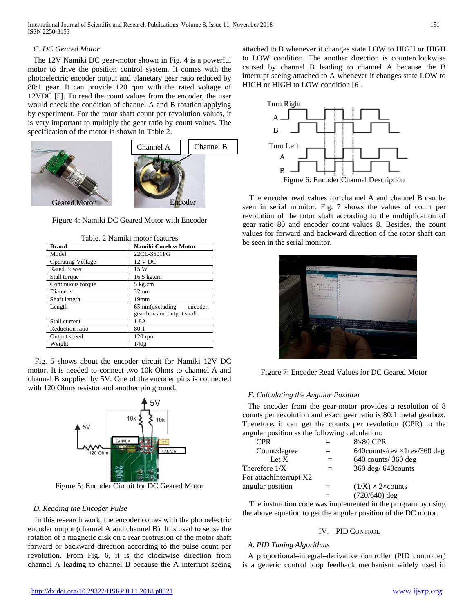*C. DC Geared Motor* The 12V Namiki DC gear-motor shown in Fig. 4 is a powerful motor to drive the position control system. It comes with the photoelectric encoder output and planetary gear ratio reduced by 80:1 gear. It can provide 120 rpm with the rated voltage of 12VDC [5]. To read the count values from the encoder, the user would check the condition of channel A and B rotation applying by experiment. For the rotor shaft count per revolution values, it is very important to multiply the gear ratio by count values. The specification of the motor is shown in Table 2.



Figure 4: Namiki DC Geared Motor with Encoder

| <b>Brand</b>             | <b>Namiki Coreless Motor</b>                                  |
|--------------------------|---------------------------------------------------------------|
| Model                    | 22CL-3501PG                                                   |
| <b>Operating Voltage</b> | 12 V DC                                                       |
| <b>Rated Power</b>       | 15 W                                                          |
| Stall torque             | 16.5 kg.cm                                                    |
| Continuous torque        | 5 kg.cm                                                       |
| Diameter                 | 22mm                                                          |
| Shaft length             | 19 <sub>mm</sub>                                              |
| Length                   | $65$ mm $(excluding$<br>encoder.<br>gear box and output shaft |
| Stall current            | 1.8A                                                          |
| Reduction ratio          | 80:1                                                          |
| Output speed             | $120$ rpm                                                     |
| Weight                   | 140g                                                          |

Table. 2 Namiki motor features

Fig. 5 shows about the encoder circuit for Namiki 12V DC motor. It is needed to connect two 10k Ohms to channel A and channel B supplied by 5V. One of the encoder pins is connected with 120 Ohms resistor and another pin ground.



Figure 5: Encoder Circuit for DC Geared Motor

#### *D. Reading the Encoder Pulse*

In this research work, the encoder comes with the photoelectric encoder output (channel A and channel B). It is used to sense the rotation of a magnetic disk on a rear protrusion of the motor shaft forward or backward direction according to the pulse count per revolution. From Fig. 6, it is the clockwise direction from channel A leading to channel B because the A interrupt seeing attached to B whenever it changes state LOW to HIGH or HIGH to LOW condition. The another direction is counterclockwise caused by channel B leading to channel A because the B interrupt seeing attached to A whenever it changes state LOW to HIGH or HIGH to LOW condition [6].



The encoder read values for channel A and channel B can be seen in serial monitor. Fig. 7 shows the values of count per revolution of the rotor shaft according to the multiplication of gear ratio 80 and encoder count values 8. Besides, the count values for forward and backward direction of the rotor shaft can be seen in the serial monitor.



Figure 7: Encoder Read Values for DC Geared Motor

## *E. Calculating the Angular Position*

The encoder from the gear-motor provides a resolution of 8 counts per revolution and exact gear ratio is 80:1 metal gearbox. Therefore, it can get the counts per revolution (CPR) to the angular position as the following calculation:

| <b>CPR</b>             | $8\times80$ CPR                     |
|------------------------|-------------------------------------|
| Count/degree           | 640counts/rev $\times$ 1rev/360 deg |
| Let $X$                | $640$ counts/ 360 deg               |
| Therefore $1/X$        | 360 deg/ 640counts                  |
| For attachInterrupt X2 |                                     |
| angular position       | $(1/X) \times 2 \times counts$      |
|                        | $(720/640)$ deg                     |
|                        |                                     |

The instruction code was implemented in the program by using the above equation to get the angular position of the DC motor.

# IV. PID CONTROL

#### *A. PID Tuning Algorithms*

A proportional–integral–derivative controller (PID controller) is a generic control loop feedback mechanism widely used in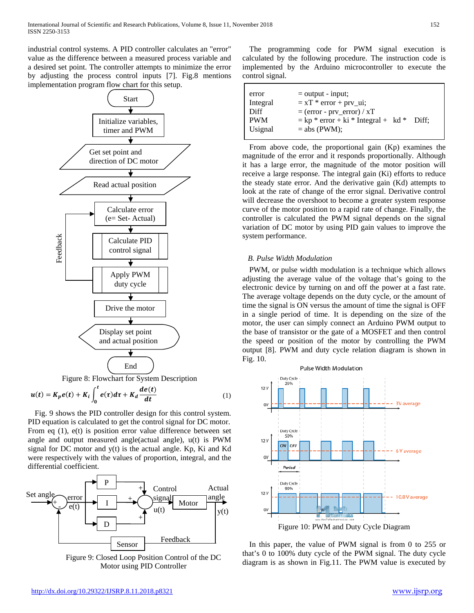industrial control systems. A PID controller calculates an "error" value as the difference between a measured process variable and a desired set point. The controller attempts to minimize the error by adjusting the process control inputs [7]. Fig.8 mentions implementation program flow chart for this setup.



Figure 8: Flowchart for System Description

$$
u(t) = K_p e(t) + K_i \int_0^t e(\tau) d\tau + K_d \frac{de(t)}{dt}
$$
 (1)

Fig. 9 shows the PID controller design for this control system. PID equation is calculated to get the control signal for DC motor. From eq (1), e(t) is position error value difference between set angle and output measured angle(actual angle), u(t) is PWM signal for DC motor and  $y(t)$  is the actual angle. Kp, Ki and Kd were respectively with the values of proportion, integral, and the differential coefficient.



Figure 9: Closed Loop Position Control of the DC Motor using PID Controller

The programming code for PWM signal execution is calculated by the following procedure. The instruction code is implemented by the Arduino microcontroller to execute the control signal.

| error      | $=$ output - input;                               |
|------------|---------------------------------------------------|
| Integral   | $= xT * error + prv_i$                            |
| Diff       | $=$ (error - prv_error) / xT                      |
| <b>PWM</b> | $=$ kp $*$ error + ki $*$ Integral + kd $*$ Diff; |
| Usignal    | $=$ abs (PWM);                                    |

From above code, the proportional gain (Kp) examines the magnitude of the error and it responds proportionally. Although it has a large error, the magnitude of the motor position will receive a large response. The integral gain (Ki) efforts to reduce the steady state error. And the derivative gain (Kd) attempts to look at the rate of change of the error signal. Derivative control will decrease the overshoot to become a greater system response curve of the motor position to a rapid rate of change. Finally, the controller is calculated the PWM signal depends on the signal variation of DC motor by using PID gain values to improve the system performance.

# *B. Pulse Width Modulation*

PWM, or pulse width modulation is a technique which allows adjusting the average value of the voltage that's going to the electronic device by turning on and off the power at a fast rate. The average voltage depends on the duty cycle, or the amount of time the signal is ON versus the amount of time the signal is OFF in a single period of time. It is depending on the size of the motor, the user can simply connect an Arduino PWM output to the base of transistor or the gate of a MOSFET and then control the speed or position of the motor by controlling the PWM output [8]. PWM and duty cycle relation diagram is shown in Fig. 10.



Figure 10: PWM and Duty Cycle Diagram

In this paper, the value of PWM signal is from 0 to 255 or that's 0 to 100% duty cycle of the PWM signal. The duty cycle diagram is as shown in Fig.11. The PWM value is executed by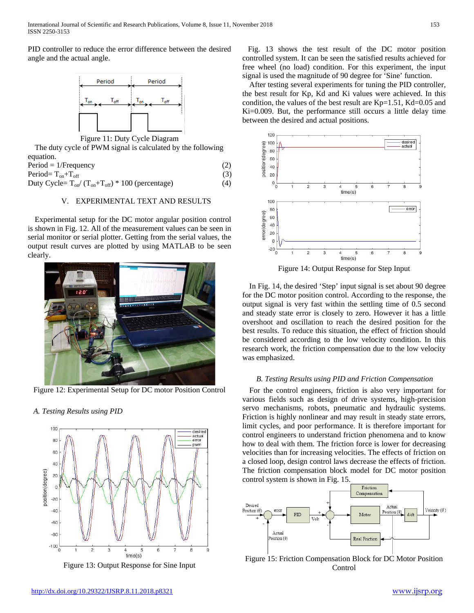PID controller to reduce the error difference between the desired angle and the actual angle.



Figure 11: Duty Cycle Diagram

The duty cycle of PWM signal is calculated by the following equation.

| $Period = 1/Frequency$                                   | (2) |  |
|----------------------------------------------------------|-----|--|
| Period= $T_{on}+T_{off}$                                 | (3) |  |
| Duty Cycle= $T_{on}/(T_{on}+T_{off})$ * 100 (percentage) | (4) |  |

# V. EXPERIMENTAL TEXT AND RESULTS

Experimental setup for the DC motor angular position control is shown in Fig. 12. All of the measurement values can be seen in serial monitor or serial plotter. Getting from the serial values, the output result curves are plotted by using MATLAB to be seen clearly.



Figure 12: Experimental Setup for DC motor Position Control

*A. Testing Results using PID*



Figure 13: Output Response for Sine Input

Fig. 13 shows the test result of the DC motor position controlled system. It can be seen the satisfied results achieved for free wheel (no load) condition. For this experiment, the input signal is used the magnitude of 90 degree for 'Sine' function.

After testing several experiments for tuning the PID controller, the best result for Kp, Kd and Ki values were achieved. In this condition, the values of the best result are Kp=1.51, Kd=0.05 and Ki=0.009. But, the performance still occurs a little delay time between the desired and actual positions.



Figure 14: Output Response for Step Input

In Fig. 14, the desired 'Step' input signal is set about 90 degree for the DC motor position control. According to the response, the output signal is very fast within the settling time of 0.5 second and steady state error is closely to zero. However it has a little overshoot and oscillation to reach the desired position for the best results. To reduce this situation, the effect of friction should be considered according to the low velocity condition. In this research work, the friction compensation due to the low velocity was emphasized.

# *B. Testing Results using PID and Friction Compensation*

For the control engineers, friction is also very important for various fields such as design of drive systems, high-precision servo mechanisms, robots, pneumatic and hydraulic systems. Friction is highly nonlinear and may result in steady state errors, limit cycles, and poor performance. It is therefore important for control engineers to understand friction phenomena and to know how to deal with them. The friction force is lower for decreasing velocities than for increasing velocities. The effects of friction on a closed loop, design control laws decrease the effects of friction. The friction compensation block model for DC motor position control system is shown in Fig. 15.



Figure 15: Friction Compensation Block for DC Motor Position Control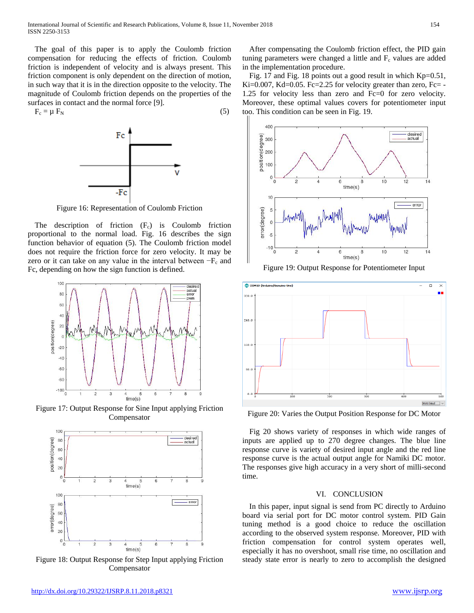The goal of this paper is to apply the Coulomb friction compensation for reducing the effects of friction. Coulomb friction is independent of velocity and is always present. This friction component is only dependent on the direction of motion, in such way that it is in the direction opposite to the velocity. The magnitude of Coulomb friction depends on the properties of the surfaces in contact and the normal force [9].

 $F_c = \mu F_N$  (5)



Figure 16: Representation of Coulomb Friction

The description of friction  $(F_c)$  is Coulomb friction proportional to the normal load. Fig. 16 describes the sign function behavior of equation (5). The Coulomb friction model does not require the friction force for zero velocity. It may be zero or it can take on any value in the interval between  $-F_c$  and Fc, depending on how the sign function is defined.



Figure 17: Output Response for Sine Input applying Friction Compensator



Figure 18: Output Response for Step Input applying Friction Compensator

After compensating the Coulomb friction effect, the PID gain tuning parameters were changed a little and  $F_c$  values are added in the implementation procedure.

Fig. 17 and Fig. 18 points out a good result in which Kp=0.51, Ki=0.007, Kd=0.05. Fc=2.25 for velocity greater than zero, Fc= -1.25 for velocity less than zero and Fc=0 for zero velocity. Moreover, these optimal values covers for potentiometer input too. This condition can be seen in Fig. 19.



Figure 19: Output Response for Potentiometer Input



Figure 20: Varies the Output Position Response for DC Motor

Fig 20 shows variety of responses in which wide ranges of inputs are applied up to 270 degree changes. The blue line response curve is variety of desired input angle and the red line response curve is the actual output angle for Namiki DC motor. The responses give high accuracy in a very short of milli-second time.

#### VI. CONCLUSION

In this paper, input signal is send from PC directly to Arduino board via serial port for DC motor control system. PID Gain tuning method is a good choice to reduce the oscillation according to the observed system response. Moreover, PID with friction compensation for control system operates well, especially it has no overshoot, small rise time, no oscillation and steady state error is nearly to zero to accomplish the designed